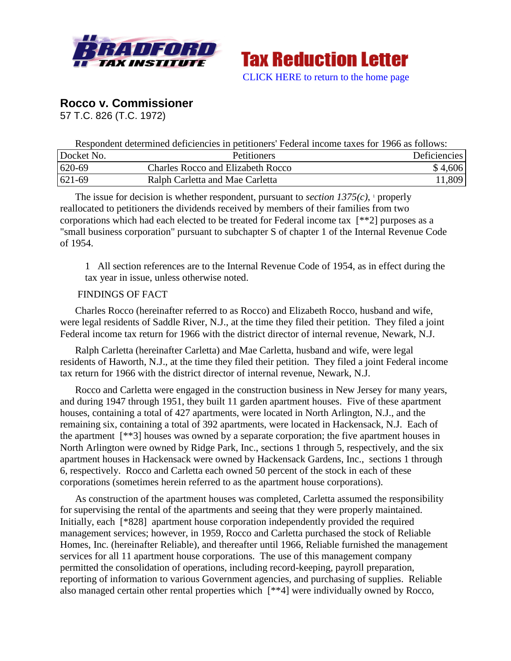

**Tax Reduction Letter** [CLICK HERE to return to the home page](http://bradfordtaxinstitute.com/index1.aspx)

# **Rocco v. Commissioner**

57 T.C. 826 (T.C. 1972)

Respondent determined deficiencies in petitioners' Federal income taxes for 1966 as follows:

| Docket No. | <b>Petitioners</b>                       | Deficiencies |
|------------|------------------------------------------|--------------|
| 620-69     | <b>Charles Rocco and Elizabeth Rocco</b> | \$4,606      |
| $621-69$   | Ralph Carletta and Mae Carletta          | 11,809       |

The issue for decision is whether respondent, pursuant to *section*  $1375(c)$ , properly reallocated to petitioners the dividends received by members of their families from two corporations which had each elected to be treated for Federal income tax [\*\*2] purposes as a "small business corporation" pursuant to subchapter S of chapter 1 of the Internal Revenue Code of 1954.

1 All section references are to the Internal Revenue Code of 1954, as in effect during the tax year in issue, unless otherwise noted.

## FINDINGS OF FACT

Charles Rocco (hereinafter referred to as Rocco) and Elizabeth Rocco, husband and wife, were legal residents of Saddle River, N.J., at the time they filed their petition. They filed a joint Federal income tax return for 1966 with the district director of internal revenue, Newark, N.J.

Ralph Carletta (hereinafter Carletta) and Mae Carletta, husband and wife, were legal residents of Haworth, N.J., at the time they filed their petition. They filed a joint Federal income tax return for 1966 with the district director of internal revenue, Newark, N.J.

Rocco and Carletta were engaged in the construction business in New Jersey for many years, and during 1947 through 1951, they built 11 garden apartment houses. Five of these apartment houses, containing a total of 427 apartments, were located in North Arlington, N.J., and the remaining six, containing a total of 392 apartments, were located in Hackensack, N.J. Each of the apartment [\*\*3] houses was owned by a separate corporation; the five apartment houses in North Arlington were owned by Ridge Park, Inc., sections 1 through 5, respectively, and the six apartment houses in Hackensack were owned by Hackensack Gardens, Inc., sections 1 through 6, respectively. Rocco and Carletta each owned 50 percent of the stock in each of these corporations (sometimes herein referred to as the apartment house corporations).

As construction of the apartment houses was completed, Carletta assumed the responsibility for supervising the rental of the apartments and seeing that they were properly maintained. Initially, each [\*828] apartment house corporation independently provided the required management services; however, in 1959, Rocco and Carletta purchased the stock of Reliable Homes, Inc. (hereinafter Reliable), and thereafter until 1966, Reliable furnished the management services for all 11 apartment house corporations. The use of this management company permitted the consolidation of operations, including record-keeping, payroll preparation, reporting of information to various Government agencies, and purchasing of supplies. Reliable also managed certain other rental properties which [\*\*4] were individually owned by Rocco,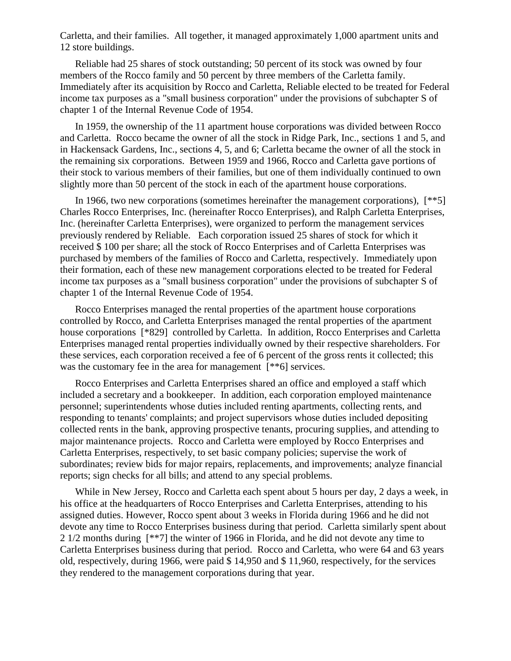Carletta, and their families. All together, it managed approximately 1,000 apartment units and 12 store buildings.

Reliable had 25 shares of stock outstanding; 50 percent of its stock was owned by four members of the Rocco family and 50 percent by three members of the Carletta family. Immediately after its acquisition by Rocco and Carletta, Reliable elected to be treated for Federal income tax purposes as a "small business corporation" under the provisions of subchapter S of chapter 1 of the Internal Revenue Code of 1954.

In 1959, the ownership of the 11 apartment house corporations was divided between Rocco and Carletta. Rocco became the owner of all the stock in Ridge Park, Inc., sections 1 and 5, and in Hackensack Gardens, Inc., sections 4, 5, and 6; Carletta became the owner of all the stock in the remaining six corporations. Between 1959 and 1966, Rocco and Carletta gave portions of their stock to various members of their families, but one of them individually continued to own slightly more than 50 percent of the stock in each of the apartment house corporations.

In 1966, two new corporations (sometimes hereinafter the management corporations), [\*\*5] Charles Rocco Enterprises, Inc. (hereinafter Rocco Enterprises), and Ralph Carletta Enterprises, Inc. (hereinafter Carletta Enterprises), were organized to perform the management services previously rendered by Reliable. Each corporation issued 25 shares of stock for which it received \$ 100 per share; all the stock of Rocco Enterprises and of Carletta Enterprises was purchased by members of the families of Rocco and Carletta, respectively. Immediately upon their formation, each of these new management corporations elected to be treated for Federal income tax purposes as a "small business corporation" under the provisions of subchapter S of chapter 1 of the Internal Revenue Code of 1954.

Rocco Enterprises managed the rental properties of the apartment house corporations controlled by Rocco, and Carletta Enterprises managed the rental properties of the apartment house corporations [\*829] controlled by Carletta. In addition, Rocco Enterprises and Carletta Enterprises managed rental properties individually owned by their respective shareholders. For these services, each corporation received a fee of 6 percent of the gross rents it collected; this was the customary fee in the area for management  $[**6]$  services.

Rocco Enterprises and Carletta Enterprises shared an office and employed a staff which included a secretary and a bookkeeper. In addition, each corporation employed maintenance personnel; superintendents whose duties included renting apartments, collecting rents, and responding to tenants' complaints; and project supervisors whose duties included depositing collected rents in the bank, approving prospective tenants, procuring supplies, and attending to major maintenance projects. Rocco and Carletta were employed by Rocco Enterprises and Carletta Enterprises, respectively, to set basic company policies; supervise the work of subordinates; review bids for major repairs, replacements, and improvements; analyze financial reports; sign checks for all bills; and attend to any special problems.

While in New Jersey, Rocco and Carletta each spent about 5 hours per day, 2 days a week, in his office at the headquarters of Rocco Enterprises and Carletta Enterprises, attending to his assigned duties. However, Rocco spent about 3 weeks in Florida during 1966 and he did not devote any time to Rocco Enterprises business during that period. Carletta similarly spent about 2 1/2 months during [\*\*7] the winter of 1966 in Florida, and he did not devote any time to Carletta Enterprises business during that period. Rocco and Carletta, who were 64 and 63 years old, respectively, during 1966, were paid \$ 14,950 and \$ 11,960, respectively, for the services they rendered to the management corporations during that year.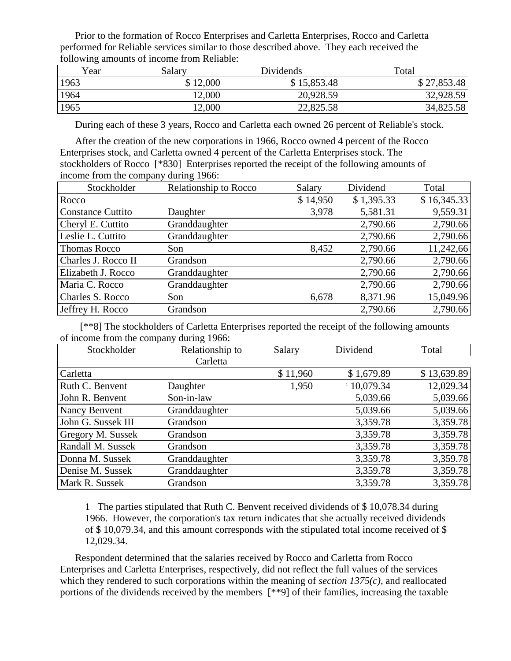Prior to the formation of Rocco Enterprises and Carletta Enterprises, Rocco and Carletta performed for Reliable services similar to those described above. They each received the following amounts of income from Reliable:

| Year | Salary   | Dividends   | Total       |
|------|----------|-------------|-------------|
| 1963 | \$12,000 | \$15,853.48 | \$27,853.48 |
| 1964 | 12,000   | 20,928.59   | 32,928.59   |
| 1965 | 12,000   | 22,825.58   | 34,825.58   |

During each of these 3 years, Rocco and Carletta each owned 26 percent of Reliable's stock.

After the creation of the new corporations in 1966, Rocco owned 4 percent of the Rocco Enterprises stock, and Carletta owned 4 percent of the Carletta Enterprises stock. The stockholders of Rocco [\*830] Enterprises reported the receipt of the following amounts of income from the company during 1966:

| Stockholder              | Relationship to Rocco | Salary   | Dividend   | Total       |
|--------------------------|-----------------------|----------|------------|-------------|
| Rocco                    |                       | \$14,950 | \$1,395.33 | \$16,345.33 |
| <b>Constance Cuttito</b> | Daughter              | 3,978    | 5,581.31   | 9,559.31    |
| Cheryl E. Cuttito        | Granddaughter         |          | 2,790.66   | 2,790.66    |
| Leslie L. Cuttito        | Granddaughter         |          | 2,790.66   | 2,790.66    |
| <b>Thomas Rocco</b>      | Son                   | 8,452    | 2,790.66   | 11,242,66   |
| Charles J. Rocco II      | Grandson              |          | 2,790.66   | 2,790.66    |
| Elizabeth J. Rocco       | Granddaughter         |          | 2,790.66   | 2,790.66    |
| Maria C. Rocco           | Granddaughter         |          | 2,790.66   | 2,790.66    |
| Charles S. Rocco         | Son                   | 6,678    | 8,371.96   | 15,049.96   |
| Jeffrey H. Rocco         | Grandson              |          | 2,790.66   | 2,790.66    |

 [\*\*8] The stockholders of Carletta Enterprises reported the receipt of the following amounts of income from the company during 1966:

| Stockholder              | Relationship to | Salary   | Dividend   | Total       |
|--------------------------|-----------------|----------|------------|-------------|
|                          | Carletta        |          |            |             |
| Carletta                 |                 | \$11,960 | \$1,679.89 | \$13,639.89 |
| Ruth C. Benvent          | Daughter        | 1,950    | 10,079.34  | 12,029.34   |
| John R. Benvent          | Son-in-law      |          | 5,039.66   | 5,039.66    |
| Nancy Benvent            | Granddaughter   |          | 5,039.66   | 5,039.66    |
| John G. Sussek III       | Grandson        |          | 3,359.78   | 3,359.78    |
| <b>Gregory M. Sussek</b> | Grandson        |          | 3,359.78   | 3,359.78    |
| <b>Randall M. Sussek</b> | Grandson        |          | 3,359.78   | 3,359.78    |
| Donna M. Sussek          | Granddaughter   |          | 3,359.78   | 3,359.78    |
| Denise M. Sussek         | Granddaughter   |          | 3,359.78   | 3,359.78    |
| Mark R. Sussek           | Grandson        |          | 3,359.78   | 3,359.78    |

1 The parties stipulated that Ruth C. Benvent received dividends of \$ 10,078.34 during 1966. However, the corporation's tax return indicates that she actually received dividends of \$ 10,079.34, and this amount corresponds with the stipulated total income received of \$ 12,029.34.

Respondent determined that the salaries received by Rocco and Carletta from Rocco Enterprises and Carletta Enterprises, respectively, did not reflect the full values of the services which they rendered to such corporations within the meaning of *section 1375(c)*, and reallocated portions of the dividends received by the members [\*\*9] of their families, increasing the taxable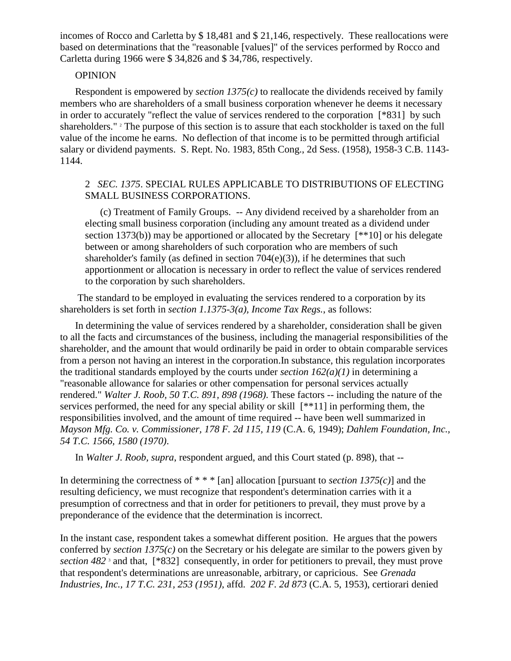incomes of Rocco and Carletta by \$ 18,481 and \$ 21,146, respectively. These reallocations were based on determinations that the "reasonable [values]" of the services performed by Rocco and Carletta during 1966 were \$ 34,826 and \$ 34,786, respectively.

#### **OPINION**

Respondent is empowered by *section 1375(c)* to reallocate the dividends received by family members who are shareholders of a small business corporation whenever he deems it necessary in order to accurately "reflect the value of services rendered to the corporation [\*831] by such shareholders." <sup>2</sup> The purpose of this section is to assure that each stockholder is taxed on the full value of the income he earns. No deflection of that income is to be permitted through artificial salary or dividend payments. S. Rept. No. 1983, 85th Cong., 2d Sess. (1958), 1958-3 C.B. 1143- 1144.

# 2 *SEC. 1375*. SPECIAL RULES APPLICABLE TO DISTRIBUTIONS OF ELECTING SMALL BUSINESS CORPORATIONS.

(c) Treatment of Family Groups. -- Any dividend received by a shareholder from an electing small business corporation (including any amount treated as a dividend under section 1373(b)) may be apportioned or allocated by the Secretary [\*\*10] or his delegate between or among shareholders of such corporation who are members of such shareholder's family (as defined in section  $704(e)(3)$ ), if he determines that such apportionment or allocation is necessary in order to reflect the value of services rendered to the corporation by such shareholders.

The standard to be employed in evaluating the services rendered to a corporation by its shareholders is set forth in *section 1.1375-3(a), Income Tax Regs.*, as follows:

In determining the value of services rendered by a shareholder, consideration shall be given to all the facts and circumstances of the business, including the managerial responsibilities of the shareholder, and the amount that would ordinarily be paid in order to obtain comparable services from a person not having an interest in the corporation.In substance, this regulation incorporates the traditional standards employed by the courts under *section 162(a)(1)* in determining a "reasonable allowance for salaries or other compensation for personal services actually rendered." *Walter J. Roob, 50 T.C. 891, 898 (1968)*. These factors -- including the nature of the services performed, the need for any special ability or skill  $[**11]$  in performing them, the responsibilities involved, and the amount of time required -- have been well summarized in *Mayson Mfg. Co. v. Commissioner, 178 F. 2d 115, 119* (C.A. 6, 1949); *Dahlem Foundation, Inc., 54 T.C. 1566, 1580 (1970)*.

In *Walter J. Roob, supra*, respondent argued, and this Court stated (p. 898), that --

In determining the correctness of \* \* \* [an] allocation [pursuant to *section 1375(c)*] and the resulting deficiency, we must recognize that respondent's determination carries with it a presumption of correctness and that in order for petitioners to prevail, they must prove by a preponderance of the evidence that the determination is incorrect.

In the instant case, respondent takes a somewhat different position. He argues that the powers conferred by *section 1375(c)* on the Secretary or his delegate are similar to the powers given by *section 482* <sup>3</sup> and that, [\*832] consequently, in order for petitioners to prevail, they must prove that respondent's determinations are unreasonable, arbitrary, or capricious. See *Grenada Industries, Inc., 17 T.C. 231, 253 (1951)*, affd. *202 F. 2d 873* (C.A. 5, 1953), certiorari denied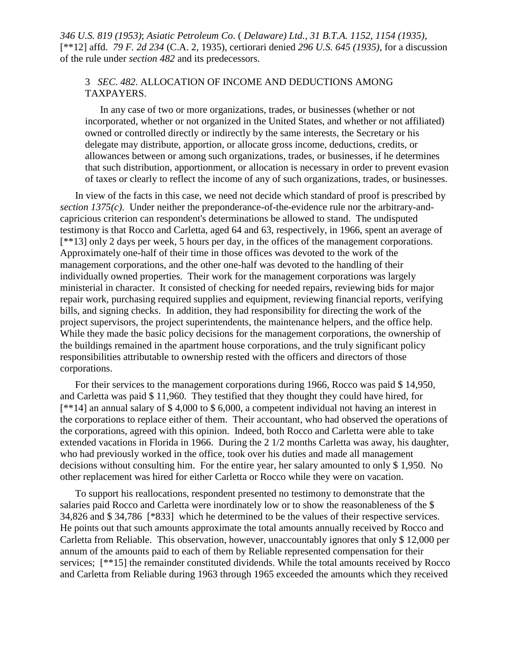*346 U.S. 819 (1953)*; *Asiatic Petroleum Co*. ( *Delaware) Ltd., 31 B.T.A. 1152, 1154 (1935)*, [\*\*12] affd. *79 F. 2d 234* (C.A. 2, 1935), certiorari denied *296 U.S. 645 (1935)*, for a discussion of the rule under *section 482* and its predecessors.

### 3 *SEC. 482*. ALLOCATION OF INCOME AND DEDUCTIONS AMONG TAXPAYERS.

In any case of two or more organizations, trades, or businesses (whether or not incorporated, whether or not organized in the United States, and whether or not affiliated) owned or controlled directly or indirectly by the same interests, the Secretary or his delegate may distribute, apportion, or allocate gross income, deductions, credits, or allowances between or among such organizations, trades, or businesses, if he determines that such distribution, apportionment, or allocation is necessary in order to prevent evasion of taxes or clearly to reflect the income of any of such organizations, trades, or businesses.

In view of the facts in this case, we need not decide which standard of proof is prescribed by *section 1375(c)*. Under neither the preponderance-of-the-evidence rule nor the arbitrary-andcapricious criterion can respondent's determinations be allowed to stand. The undisputed testimony is that Rocco and Carletta, aged 64 and 63, respectively, in 1966, spent an average of [\*\*13] only 2 days per week, 5 hours per day, in the offices of the management corporations. Approximately one-half of their time in those offices was devoted to the work of the management corporations, and the other one-half was devoted to the handling of their individually owned properties. Their work for the management corporations was largely ministerial in character. It consisted of checking for needed repairs, reviewing bids for major repair work, purchasing required supplies and equipment, reviewing financial reports, verifying bills, and signing checks. In addition, they had responsibility for directing the work of the project supervisors, the project superintendents, the maintenance helpers, and the office help. While they made the basic policy decisions for the management corporations, the ownership of the buildings remained in the apartment house corporations, and the truly significant policy responsibilities attributable to ownership rested with the officers and directors of those corporations.

For their services to the management corporations during 1966, Rocco was paid \$ 14,950, and Carletta was paid \$ 11,960. They testified that they thought they could have hired, for [\*\*14] an annual salary of \$ 4,000 to \$ 6,000, a competent individual not having an interest in the corporations to replace either of them. Their accountant, who had observed the operations of the corporations, agreed with this opinion. Indeed, both Rocco and Carletta were able to take extended vacations in Florida in 1966. During the 2 1/2 months Carletta was away, his daughter, who had previously worked in the office, took over his duties and made all management decisions without consulting him. For the entire year, her salary amounted to only \$ 1,950. No other replacement was hired for either Carletta or Rocco while they were on vacation.

To support his reallocations, respondent presented no testimony to demonstrate that the salaries paid Rocco and Carletta were inordinately low or to show the reasonableness of the \$ 34,826 and \$ 34,786 [\*833] which he determined to be the values of their respective services. He points out that such amounts approximate the total amounts annually received by Rocco and Carletta from Reliable. This observation, however, unaccountably ignores that only \$ 12,000 per annum of the amounts paid to each of them by Reliable represented compensation for their services; [\*\*15] the remainder constituted dividends. While the total amounts received by Rocco and Carletta from Reliable during 1963 through 1965 exceeded the amounts which they received